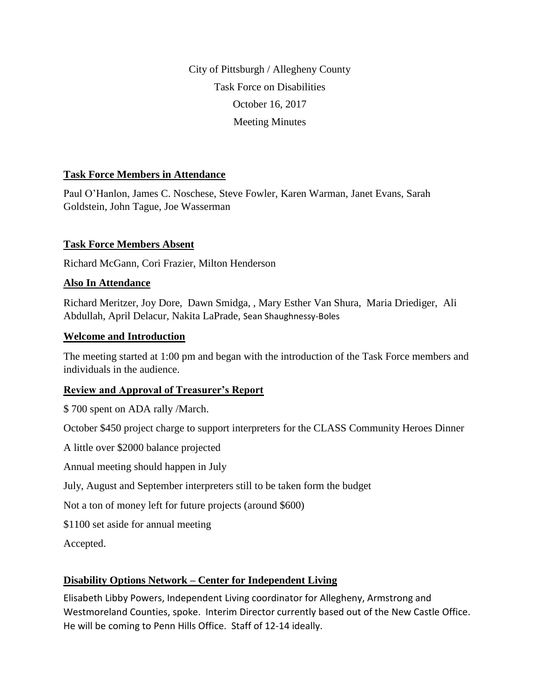City of Pittsburgh / Allegheny County Task Force on Disabilities October 16, 2017 Meeting Minutes

### **Task Force Members in Attendance**

Paul O'Hanlon, James C. Noschese, Steve Fowler, Karen Warman, Janet Evans, Sarah Goldstein, John Tague, Joe Wasserman

#### **Task Force Members Absent**

Richard McGann, Cori Frazier, Milton Henderson

#### **Also In Attendance**

Richard Meritzer, Joy Dore, Dawn Smidga, , Mary Esther Van Shura, Maria Driediger, Ali Abdullah, April Delacur, Nakita LaPrade, Sean Shaughnessy-Boles

#### **Welcome and Introduction**

The meeting started at 1:00 pm and began with the introduction of the Task Force members and individuals in the audience.

### **Review and Approval of Treasurer's Report**

\$ 700 spent on ADA rally /March.

October \$450 project charge to support interpreters for the CLASS Community Heroes Dinner

A little over \$2000 balance projected

Annual meeting should happen in July

July, August and September interpreters still to be taken form the budget

Not a ton of money left for future projects (around \$600)

\$1100 set aside for annual meeting

Accepted.

### **Disability Options Network – Center for Independent Living**

Elisabeth Libby Powers, Independent Living coordinator for Allegheny, Armstrong and Westmoreland Counties, spoke. Interim Director currently based out of the New Castle Office. He will be coming to Penn Hills Office. Staff of 12-14 ideally.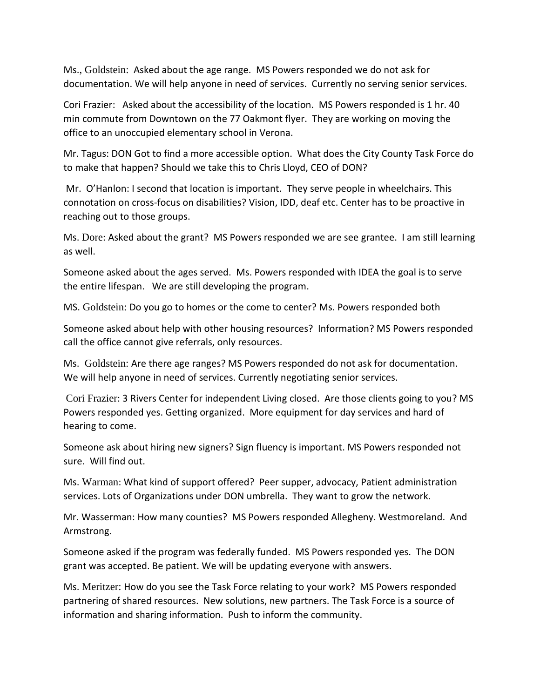Ms., Goldstein: Asked about the age range. MS Powers responded we do not ask for documentation. We will help anyone in need of services. Currently no serving senior services.

Cori Frazier: Asked about the accessibility of the location. MS Powers responded is 1 hr. 40 min commute from Downtown on the 77 Oakmont flyer. They are working on moving the office to an unoccupied elementary school in Verona.

Mr. Tagus: DON Got to find a more accessible option. What does the City County Task Force do to make that happen? Should we take this to Chris Lloyd, CEO of DON?

Mr. O'Hanlon: I second that location is important. They serve people in wheelchairs. This connotation on cross-focus on disabilities? Vision, IDD, deaf etc. Center has to be proactive in reaching out to those groups.

Ms. Dore: Asked about the grant? MS Powers responded we are see grantee. I am still learning as well.

Someone asked about the ages served. Ms. Powers responded with IDEA the goal is to serve the entire lifespan. We are still developing the program.

MS. Goldstein: Do you go to homes or the come to center? Ms. Powers responded both

Someone asked about help with other housing resources? Information? MS Powers responded call the office cannot give referrals, only resources.

Ms. Goldstein: Are there age ranges? MS Powers responded do not ask for documentation. We will help anyone in need of services. Currently negotiating senior services.

Cori Frazier: 3 Rivers Center for independent Living closed. Are those clients going to you? MS Powers responded yes. Getting organized. More equipment for day services and hard of hearing to come.

Someone ask about hiring new signers? Sign fluency is important. MS Powers responded not sure. Will find out.

Ms. Warman: What kind of support offered? Peer supper, advocacy, Patient administration services. Lots of Organizations under DON umbrella. They want to grow the network.

Mr. Wasserman: How many counties? MS Powers responded Allegheny. Westmoreland. And Armstrong.

Someone asked if the program was federally funded. MS Powers responded yes. The DON grant was accepted. Be patient. We will be updating everyone with answers.

Ms. Meritzer: How do you see the Task Force relating to your work? MS Powers responded partnering of shared resources. New solutions, new partners. The Task Force is a source of information and sharing information. Push to inform the community.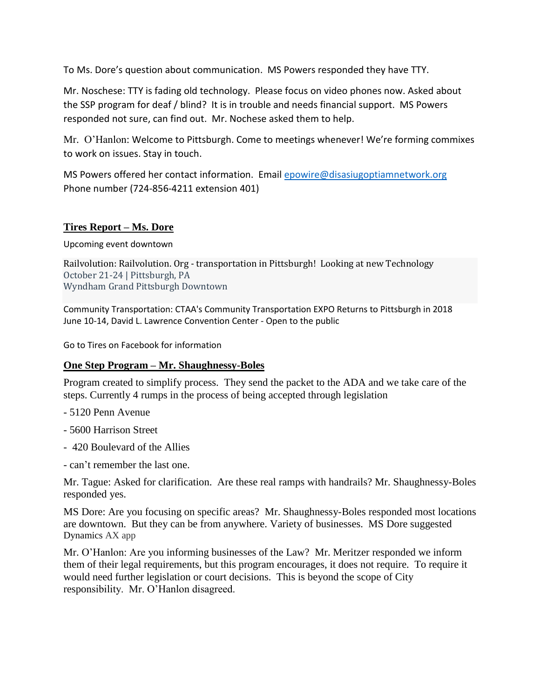To Ms. Dore's question about communication. MS Powers responded they have TTY.

Mr. Noschese: TTY is fading old technology. Please focus on video phones now. Asked about the SSP program for deaf / blind? It is in trouble and needs financial support. MS Powers responded not sure, can find out. Mr. Nochese asked them to help.

Mr. O'Hanlon: Welcome to Pittsburgh. Come to meetings whenever! We're forming commixes to work on issues. Stay in touch.

MS Powers offered her contact information. Email [epowire@disasiugoptiamnetwork.org](mailto:epowire@disasiugoptiamnetwork.org) Phone number (724-856-4211 extension 401)

#### **Tires Report – Ms. Dore**

Upcoming event downtown

Railvolution: Railvolution. Org - transportation in Pittsburgh! Looking at new Technology October 21-24 | Pittsburgh, PA Wyndham Grand Pittsburgh Downtown

Community Transportation: CTAA's Community Transportation EXPO Returns to Pittsburgh in 2018 June 10-14, David L. Lawrence Convention Center - Open to the public

Go to Tires on Facebook for information

### **One Step Program – Mr. Shaughnessy-Boles**

Program created to simplify process. They send the packet to the ADA and we take care of the steps. Currently 4 rumps in the process of being accepted through legislation

- 5120 Penn Avenue
- 5600 Harrison Street
- 420 Boulevard of the Allies
- can't remember the last one.

Mr. Tague: Asked for clarification. Are these real ramps with handrails? Mr. Shaughnessy-Boles responded yes.

MS Dore: Are you focusing on specific areas? Mr. Shaughnessy-Boles responded most locations are downtown. But they can be from anywhere. Variety of businesses. MS Dore suggested Dynamics AX app

Mr. O'Hanlon: Are you informing businesses of the Law? Mr. Meritzer responded we inform them of their legal requirements, but this program encourages, it does not require. To require it would need further legislation or court decisions. This is beyond the scope of City responsibility. Mr. O'Hanlon disagreed.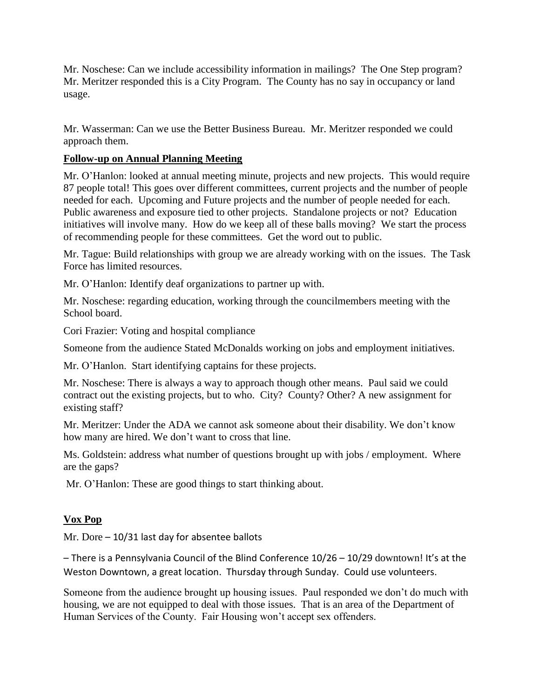Mr. Noschese: Can we include accessibility information in mailings? The One Step program? Mr. Meritzer responded this is a City Program. The County has no say in occupancy or land usage.

Mr. Wasserman: Can we use the Better Business Bureau. Mr. Meritzer responded we could approach them.

# **Follow-up on Annual Planning Meeting**

Mr. O'Hanlon: looked at annual meeting minute, projects and new projects. This would require 87 people total! This goes over different committees, current projects and the number of people needed for each. Upcoming and Future projects and the number of people needed for each. Public awareness and exposure tied to other projects. Standalone projects or not? Education initiatives will involve many. How do we keep all of these balls moving? We start the process of recommending people for these committees. Get the word out to public.

Mr. Tague: Build relationships with group we are already working with on the issues. The Task Force has limited resources.

Mr. O'Hanlon: Identify deaf organizations to partner up with.

Mr. Noschese: regarding education, working through the councilmembers meeting with the School board.

Cori Frazier: Voting and hospital compliance

Someone from the audience Stated McDonalds working on jobs and employment initiatives.

Mr. O'Hanlon. Start identifying captains for these projects.

Mr. Noschese: There is always a way to approach though other means. Paul said we could contract out the existing projects, but to who. City? County? Other? A new assignment for existing staff?

Mr. Meritzer: Under the ADA we cannot ask someone about their disability. We don't know how many are hired. We don't want to cross that line.

Ms. Goldstein: address what number of questions brought up with jobs / employment. Where are the gaps?

Mr. O'Hanlon: These are good things to start thinking about.

### **Vox Pop**

Mr. Dore – 10/31 last day for absentee ballots

– There is a Pennsylvania Council of the Blind Conference 10/26 – 10/29 downtown! It's at the Weston Downtown, a great location. Thursday through Sunday. Could use volunteers.

Someone from the audience brought up housing issues. Paul responded we don't do much with housing, we are not equipped to deal with those issues. That is an area of the Department of Human Services of the County. Fair Housing won't accept sex offenders.